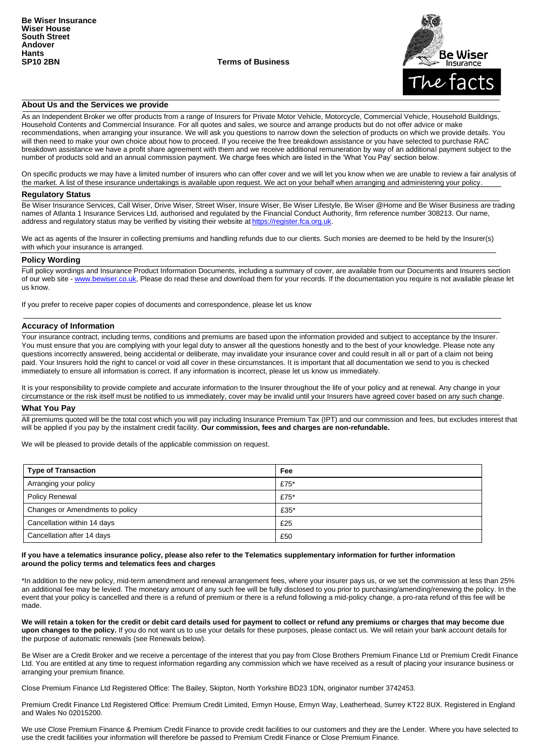**SP10 2BN Terms of Business**



## **About Us and the Services we provide**

As an Independent Broker we offer products from a range of Insurers for Private Motor Vehicle, Motorcycle, Commercial Vehicle, Household Buildings, Household Contents and Commercial Insurance. For all quotes and sales, we source and arrange products but do not offer advice or make recommendations, when arranging your insurance. We will ask you questions to narrow down the selection of products on which we provide details. You will then need to make your own choice about how to proceed. If you receive the free breakdown assistance or you have selected to purchase RAC breakdown assistance we have a profit share agreement with them and we receive additional remuneration by way of an additional payment subject to the number of products sold and an annual commission payment. We charge fees which are listed in the 'What You Pay' section below.

On specific products we may have a limited number of insurers who can offer cover and we will let you know when we are unable to review a fair analysis of the market. A list of these insurance undertakings is available upon request. We act on your behalf when arranging and administering your policy.

#### **Regulatory Status**

Be Wiser Insurance Services, Call Wiser, Drive Wiser, Street Wiser, Insure Wiser, Be Wiser Lifestyle, Be Wiser @Home and Be Wiser Business are trading names of Atlanta 1 Insurance Services Ltd, authorised and regulated by the Financial Conduct Authority, firm reference number 308213. Our name, address and regulatory status may be verified by visiting their website at [https://register.fca.org.uk.](https://register.fca.org.uk/)

We act as agents of the Insurer in collecting premiums and handling refunds due to our clients. Such monies are deemed to be held by the Insurer(s) with which your insurance is arranged.

#### **Policy Wording**

Full policy wordings and Insurance Product Information Documents, including a summary of cover, are available from our Documents and Insurers section of our web site - [www.bewiser.co.uk, P](http://www.bewiser.co.uk/)lease do read these and download them for your records. If the documentation you require is not available please let us know.

If you prefer to receive paper copies of documents and correspondence, please let us know

### **Accuracy of Information**

Your insurance contract, including terms, conditions and premiums are based upon the information provided and subject to acceptance by the Insurer. You must ensure that you are complying with your legal duty to answer all the questions honestly and to the best of your knowledge. Please note any questions incorrectly answered, being accidental or deliberate, may invalidate your insurance cover and could result in all or part of a claim not being paid. Your Insurers hold the right to cancel or void all cover in these circumstances. It is important that all documentation we send to you is checked immediately to ensure all information is correct. If any information is incorrect, please let us know us immediately.

It is your responsibility to provide complete and accurate information to the Insurer throughout the life of your policy and at renewal. Any change in your circumstance or the risk itself must be notified to us immediately, cover may be invalid until your Insurers have agreed cover based on any such change.

#### **What You Pay**

All premiums quoted will be the total cost which you will pay including Insurance Premium Tax (IPT) and our commission and fees, but excludes interest that will be applied if you pay by the instalment credit facility. **Our commission, fees and charges are non-refundable.**

We will be pleased to provide details of the applicable commission on request.

| <b>Type of Transaction</b>      | Fee     |
|---------------------------------|---------|
| Arranging your policy           | £75 $*$ |
| <b>Policy Renewal</b>           | £75 $*$ |
| Changes or Amendments to policy | £35*    |
| Cancellation within 14 days     | £25     |
| Cancellation after 14 days      | £50     |

#### **If you have a telematics insurance policy, please also refer to the Telematics supplementary information for further information around the policy terms and telematics fees and charges**

\*In addition to the new policy, mid-term amendment and renewal arrangement fees, where your insurer pays us, or we set the commission at less than 25% an additional fee may be levied. The monetary amount of any such fee will be fully disclosed to you prior to purchasing/amending/renewing the policy. In the event that your policy is cancelled and there is a refund of premium or there is a refund following a mid-policy change, a pro-rata refund of this fee will be made.

**We will retain a token for the credit or debit card details used for payment to collect or refund any premiums or charges that may become due upon changes to the policy.** If you do not want us to use your details for these purposes, please contact us. We will retain your bank account details for the purpose of automatic renewals (see Renewals below).

Be Wiser are a Credit Broker and we receive a percentage of the interest that you pay from Close Brothers Premium Finance Ltd or Premium Credit Finance Ltd. You are entitled at any time to request information regarding any commission which we have received as a result of placing your insurance business or arranging your premium finance.

Close Premium Finance Ltd Registered Office: The Bailey, Skipton, North Yorkshire BD23 1DN, originator number 3742453.

Premium Credit Finance Ltd Registered Office: Premium Credit Limited, Ermyn House, Ermyn Way, Leatherhead, Surrey KT22 8UX. Registered in England and Wales No 02015200.

We use Close Premium Finance & Premium Credit Finance to provide credit facilities to our customers and they are the Lender. Where you have selected to use the credit facilities your information will therefore be passed to Premium Credit Finance or Close Premium Finance.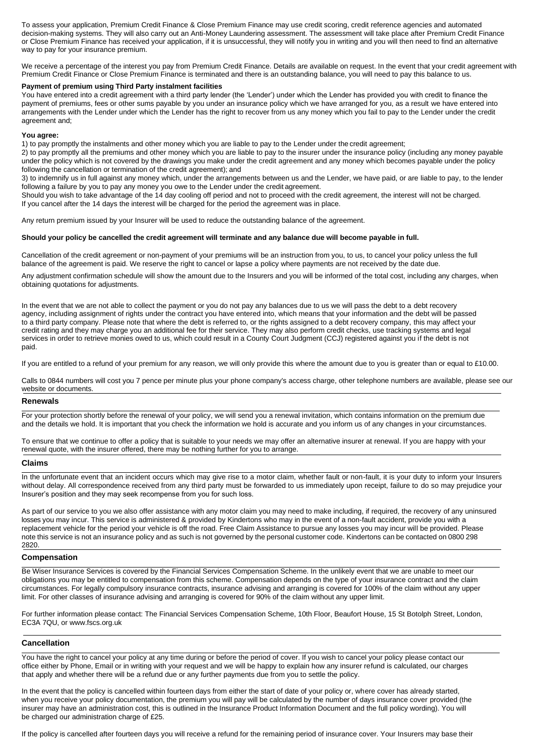To assess your application, Premium Credit Finance & Close Premium Finance may use credit scoring, credit reference agencies and automated decision-making systems. They will also carry out an Anti-Money Laundering assessment. The assessment will take place after Premium Credit Finance or Close Premium Finance has received your application, if it is unsuccessful, they will notify you in writing and you will then need to find an alternative way to pay for your insurance premium.

We receive a percentage of the interest you pay from Premium Credit Finance. Details are available on request. In the event that your credit agreement with Premium Credit Finance or Close Premium Finance is terminated and there is an outstanding balance, you will need to pay this balance to us.

### **Payment of premium using Third Party instalment facilities**

You have entered into a credit agreement with a third party lender (the 'Lender') under which the Lender has provided you with credit to finance the payment of premiums, fees or other sums payable by you under an insurance policy which we have arranged for you, as a result we have entered into arrangements with the Lender under which the Lender has the right to recover from us any money which you fail to pay to the Lender under the credit agreement and;

#### **You agree:**

1) to pay promptly the instalments and other money which you are liable to pay to the Lender under the credit agreement;

2) to pay promptly all the premiums and other money which you are liable to pay to the insurer under the insurance policy (including any money payable under the policy which is not covered by the drawings you make under the credit agreement and any money which becomes payable under the policy following the cancellation or termination of the credit agreement); and

3) to indemnify us in full against any money which, under the arrangements between us and the Lender, we have paid, or are liable to pay, to the lender following a failure by you to pay any money you owe to the Lender under the credit agreement.

Should you wish to take advantage of the 14 day cooling off period and not to proceed with the credit agreement, the interest will not be charged. If you cancel after the 14 days the interest will be charged for the period the agreement was in place.

Any return premium issued by your Insurer will be used to reduce the outstanding balance of the agreement.

#### **Should your policy be cancelled the credit agreement will terminate and any balance due will become payable in full.**

Cancellation of the credit agreement or non-payment of your premiums will be an instruction from you, to us, to cancel your policy unless the full balance of the agreement is paid. We reserve the right to cancel or lapse a policy where payments are not received by the date due.

Any adjustment confirmation schedule will show the amount due to the Insurers and you will be informed of the total cost, including any charges, when obtaining quotations for adjustments.

In the event that we are not able to collect the payment or you do not pay any balances due to us we will pass the debt to a debt recovery agency, including assignment of rights under the contract you have entered into, which means that your information and the debt will be passed to a third party company. Please note that where the debt is referred to, or the rights assigned to a debt recovery company, this may affect your credit rating and they may charge you an additional fee for their service. They may also perform credit checks, use tracking systems and legal services in order to retrieve monies owed to us, which could result in a County Court Judgment (CCJ) registered against you if the debt is not paid.

If you are entitled to a refund of your premium for any reason, we will only provide this where the amount due to you is greater than or equal to £10.00.

Calls to 0844 numbers will cost you 7 pence per minute plus your phone company's access charge, other telephone numbers are available, please see our website or documents.

### **Renewals**

For your protection shortly before the renewal of your policy, we will send you a renewal invitation, which contains information on the premium due and the details we hold. It is important that you check the information we hold is accurate and you inform us of any changes in your circumstances.

To ensure that we continue to offer a policy that is suitable to your needs we may offer an alternative insurer at renewal. If you are happy with your renewal quote, with the insurer offered, there may be nothing further for you to arrange.

## **Claims**

In the unfortunate event that an incident occurs which may give rise to a motor claim, whether fault or non-fault, it is your duty to inform your Insurers without delay. All correspondence received from any third party must be forwarded to us immediately upon receipt, failure to do so may prejudice your Insurer's position and they may seek recompense from you for such loss.

As part of our service to you we also offer assistance with any motor claim you may need to make including, if required, the recovery of any uninsured losses you may incur. This service is administered & provided by Kindertons who may in the event of a non-fault accident, provide you with a replacement vehicle for the period your vehicle is off the road. Free Claim Assistance to pursue any losses you may incur will be provided. Please note this service is not an insurance policy and as such is not governed by the personal customer code. Kindertons can be contacted on 0800 298 2820.

### **Compensation**

Be Wiser Insurance Services is covered by the Financial Services Compensation Scheme. In the unlikely event that we are unable to meet our obligations you may be entitled to compensation from this scheme. Compensation depends on the type of your insurance contract and the claim circumstances. For legally compulsory insurance contracts, insurance advising and arranging is covered for 100% of the claim without any upper limit. For other classes of insurance advising and arranging is covered for 90% of the claim without any upper limit.

For further information please contact: The Financial Services Compensation Scheme, 10th Floor, Beaufort House, 15 St Botolph Street, London, [EC3A 7QU, or www.fscs.org.uk](http://www.fscs.org.uk/)

## **Cancellation**

You have the right to cancel your policy at any time during or before the period of cover. If you wish to cancel your policy please contact our office either by Phone, Email or in writing with your request and we will be happy to explain how any insurer refund is calculated, our charges that apply and whether there will be a refund due or any further payments due from you to settle the policy.

In the event that the policy is cancelled within fourteen days from either the start of date of your policy or, where cover has already started, when you receive your policy documentation, the premium you will pay will be calculated by the number of days insurance cover provided (the insurer may have an administration cost, this is outlined in the Insurance Product Information Document and the full policy wording). You will be charged our administration charge of £25.

If the policy is cancelled after fourteen days you will receive a refund for the remaining period of insurance cover. Your Insurers may base their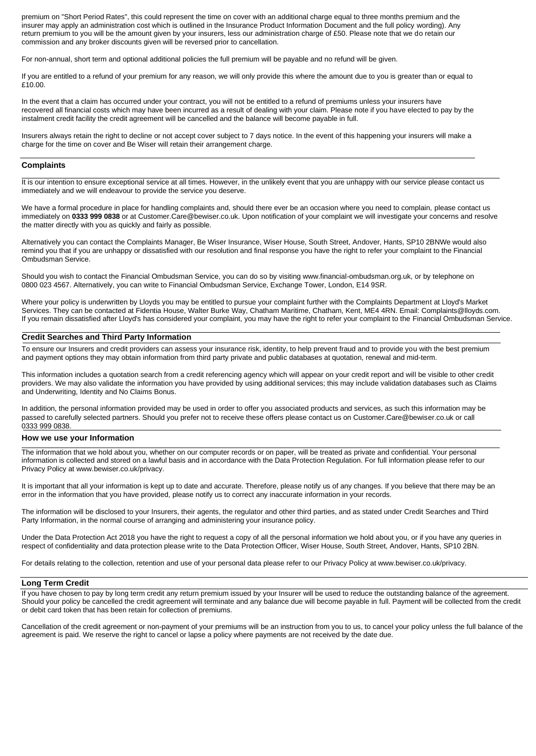premium on "Short Period Rates", this could represent the time on cover with an additional charge equal to three months premium and the insurer may apply an administration cost which is outlined in the Insurance Product Information Document and the full policy wording). Any return premium to you will be the amount given by your insurers, less our administration charge of £50. Please note that we do retain our commission and any broker discounts given will be reversed prior to cancellation.

For non-annual, short term and optional additional policies the full premium will be payable and no refund will be given.

If you are entitled to a refund of your premium for any reason, we will only provide this where the amount due to you is greater than or equal to £10.00.

In the event that a claim has occurred under your contract, you will not be entitled to a refund of premiums unless your insurers have recovered all financial costs which may have been incurred as a result of dealing with your claim. Please note if you have elected to pay by the instalment credit facility the credit agreement will be cancelled and the balance will become payable in full.

Insurers always retain the right to decline or not accept cover subject to 7 days notice. In the event of this happening your insurers will make a charge for the time on cover and Be Wiser will retain their arrangement charge.

#### **Complaints**

It is our intention to ensure exceptional service at all times. However, in the unlikely event that you are unhappy with our service please contact us immediately and we will endeavour to provide the service you deserve.

We have a formal procedure in place for handling complaints and, should there ever be an occasion where you need to complain, please contact us immediately on **0333 999 0838** [or at Customer.Care@bewiser.co.uk. U](mailto:Customer.Care@bewiser.co.uk)pon notification of your complaint we will investigate your concerns and resolve the matter directly with you as quickly and fairly as possible.

Alternatively you can contact the Complaints Manager, Be Wiser Insurance, Wiser House, South Street, Andover, Hants, SP10 2BNWe would also remind you that if you are unhappy or dissatisfied with our resolution and final response you have the right to refer your complaint to the Financial Ombudsman Service.

[Should you wish to contact the Financial Ombudsman Service, you can do so by visiting www.financial-ombudsman.org.uk, o](http://www.financial-ombudsman.org.uk/)r by telephone on 0800 023 4567. Alternatively, you can write to Financial Ombudsman Service, Exchange Tower, London, E14 9SR.

Where your policy is underwritten by Lloyds you may be entitled to pursue your complaint further with the Complaints Department at Lloyd's Market Services. They can be contacted at Fidentia House, Walter Burke [Way, Chatham Maritime, Chatham, Kent, ME4 4RN. Email: Complaints@lloyds.com.](mailto:Complaints@lloyds.com) If you remain dissatisfied after Lloyd's has considered your complaint, you may have the right to refer your complaint to the Financial Ombudsman Service.

## **Credit Searches and Third Party Information**

To ensure our Insurers and credit providers can assess your insurance risk, identity, to help prevent fraud and to provide you with the best premium and payment options they may obtain information from third party private and public databases at quotation, renewal and mid-term.

This information includes a quotation search from a credit referencing agency which will appear on your credit report and will be visible to other credit providers. We may also validate the information you have provided by using additional services; this may include validation databases such as Claims and Underwriting, Identity and No Claims Bonus.

In addition, the personal information provided may be used in order to offer you associated products and services, as such this information may b[e](mailto:Customer.Care@bewiser.co.uk) [passed to carefully selected partners. Should you prefer not to receive these offers please contact us on Customer.Care@bewiser.co.uk o](mailto:Customer.Care@bewiser.co.uk)r call 0333 999 0838.

### **How we use your Information**

The information that we hold about you, whether on our computer records or on paper, will be treated as private and confidential. Your personal information is collected and stored on a lawful basis and in accordance with the Data Protection Regulation. For full information please refer to o[ur](http://www.bewiser.co.uk/privacy) [Privacy Policy at www.bewiser.co.uk/privacy.](http://www.bewiser.co.uk/privacy)

It is important that all your information is kept up to date and accurate. Therefore, please notify us of any changes. If you believe that there may be an error in the information that you have provided, please notify us to correct any inaccurate information in your records.

The information will be disclosed to your Insurers, their agents, the regulator and other third parties, and as stated under Credit Searches and Third Party Information, in the normal course of arranging and administering your insurance policy.

Under the Data Protection Act 2018 you have the right to request a copy of all the personal information we hold about you, or if you have any queries in respect of confidentiality and data protection please write to the Data Protection Officer, Wiser House, South Street, Andover, Hants, SP10 2BN.

[For details relating to the collection, retention and use of your personal data please refer to our Privacy Policy at www.bewiser.co.uk/privacy.](http://www.bewiser.co.uk/privacy)

#### **Long Term Credit**

If you have chosen to pay by long term credit any return premium issued by your Insurer will be used to reduce the outstanding balance of the agreement. Should your policy be cancelled the credit agreement will terminate and any balance due will become payable in full. Payment will be collected from the credit or debit card token that has been retain for collection of premiums.

Cancellation of the credit agreement or non-payment of your premiums will be an instruction from you to us, to cancel your policy unless the full balance of the agreement is paid. We reserve the right to cancel or lapse a policy where payments are not received by the date due.